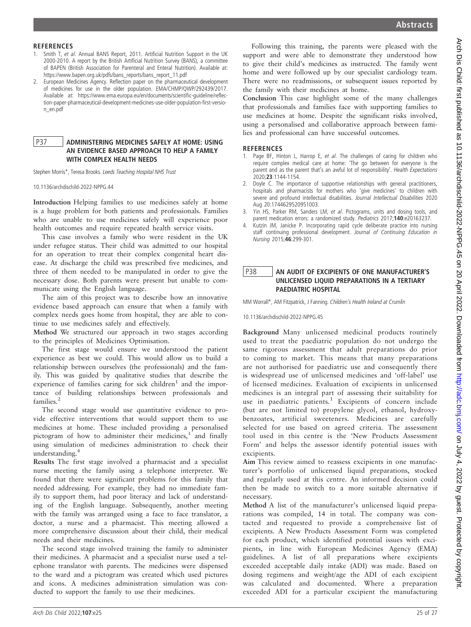#### **REFERENCES**

- 1. Smith T, et al. Annual BANS Report, 2011. Artificial Nutrition Support in the UK 2000-2010. A report by the British Artificial Nutrition Survey (BANS), a committee of BAPEN (British Association for Parenteral and Enteral Nutrition). Available at: https://www.bapen.org.uk/pdfs/bans\_reports/bans\_report\_11.pdf
- 2. European Medicines Agency. Reflection paper on the pharmaceutical development of medicines for use in the older population. EMA/CHMP/QWP/292439/2017. Available at: https://www.ema.europa.eu/en/documents/scientific-guideline/reflection-paper-pharmaceutical-development-medicines-use-older-population-first-version\_en.pdf

## P37 ADMINISTERING MEDICINES SAFELY AT HOME: USING AN EVIDENCE BASED APPROACH TO HELP A FAMILY WITH COMPLEX HEALTH NEEDS

Stephen Morris\*, Teresa Brooks. Leeds Teaching Hospital NHS Trust

10.1136/archdischild-2022-NPPG.44

Introduction Helping families to use medicines safely at home is a huge problem for both patients and professionals. Families who are unable to use medicines safely will experience poor health outcomes and require repeated health service visits.

This case involves a family who were resident in the UK under refugee status. Their child was admitted to our hospital for an operation to treat their complex congenital heart disease. At discharge the child was prescribed five medicines, and three of them needed to be manipulated in order to give the necessary dose. Both parents were present but unable to communicate using the English language.

The aim of this project was to describe how an innovative evidence based approach can ensure that when a family with complex needs goes home from hospital, they are able to continue to use medicines safely and effectively.

Method We structured our approach in two stages according to the principles of Medicines Optimisation.

The first stage would ensure we understood the patient experience as best we could. This would allow us to build a relationship between ourselves (the professionals) and the family. This was guided by qualitative studies that describe the experience of families caring for sick children<sup>1</sup> and the importance of building relationships between professionals and families.<sup>2</sup>

The second stage would use quantitative evidence to provide effective interventions that would support them to use medicines at home. These included providing a personalised pictogram of how to administer their medicines, $3$  and finally using simulation of medicines administration to check their understanding.<sup>4</sup>

Results The first stage involved a pharmacist and a specialist nurse meeting the family using a telephone interpreter. We found that there were significant problems for this family that needed addressing. For example, they had no immediate family to support them, had poor literacy and lack of understanding of the English language. Subsequently, another meeting with the family was arranged using a face to face translator, a doctor, a nurse and a pharmacist. This meeting allowed a more comprehensive discussion about their child, their medical needs and their medicines.

The second stage involved training the family to administer their medicines. A pharmacist and a specialist nurse used a telephone translator with parents. The medicines were dispensed to the ward and a pictogram was created which used pictures and icons. A medicines administration simulation was conducted to support the family to use their medicines.

Following this training, the parents were pleased with the support and were able to demonstrate they understood how to give their child's medicines as instructed. The family went home and were followed up by our specialist cardiology team. There were no readmissions, or subsequent issues reported by the family with their medicines at home.

Conclusion This case highlight some of the many challenges that professionals and families face with supporting families to use medicines at home. Despite the significant risks involved, using a personalised and collaborative approach between families and professional can have successful outcomes.

#### **REFERENCES**

- 1. Page BF, Hinton L, Harrop E, et al. The challenges of caring for children who require complex medical care at home: 'The go between for everyone is the parent and as the parent that's an awful lot of responsibility'. Health Expectations 2020;23:1144-1154.
- 2. Doyle C. The importance of supportive relationships with general practitioners, hospitals and pharmacists for mothers who 'give medicines' to children with severe and profound intellectual disabilities. Journal Intellectual Disabilities 2020 Aug 20:1744629520951003.
- 3. Yin HS, Parker RM, Sanders LM, et al. Pictograms, units and dosing tools, and parent medication errors: a randomized study. Pediatrics 2017;140:e20163237.
- 4. Kutzin JM, Janicke P. Incorporating rapid cycle deliberate practice into nursing staff continuing professional development. Journal of Continuing Education in Nursing 2015;46:299-301.

## P38 AN AUDIT OF EXCIPIENTS OF ONE MANUFACTURER'S UNLICENSED LIQUID PREPARATIONS IN A TERTIARY PAEDIATRIC HOSPITAL

MM Worrall\*, AM Fitzpatrick, J Fanning. Children's Health Ireland at Crumlin

10.1136/archdischild-2022-NPPG.45

Background Many unlicensed medicinal products routinely used to treat the paediatric population do not undergo the same rigorous assessment that adult preparations do prior to coming to market. This means that many preparations are not authorised for paediatric use and consequently there is widespread use of unlicensed medicines and 'off-label' use of licensed medicines. Evaluation of excipients in unlicensed medicines is an integral part of assessing their suitability for use in paediatric patients.<sup>1</sup> Excipients of concern include (but are not limited to) propylene glycol, ethanol, hydroxybenzoates, artificial sweeteners. Medicines are carefully selected for use based on agreed criteria. The assessment tool used in this centre is the 'New Products Assessment Form' and helps the assessor identify potential issues with excipients.

Aim This review aimed to reassess excipients in one manufacturer's portfolio of unlicensed liquid preparations, stocked and regularly used at this centre. An informed decision could then be made to switch to a more suitable alternative if necessary.

Method A list of the manufacturer's unlicensed liquid preparations was compiled, 14 in total. The company was contacted and requested to provide a comprehensive list of excipients. A New Products Assessment Form was completed for each product, which identified potential issues with excipients, in line with European Medicines Agency (EMA) guidelines. A list of all preparations where excipients exceeded acceptable daily intake (ADI) was made. Based on dosing regimens and weight/age the ADI of each excipient was calculated and documented. Where a preparation exceeded ADI for a particular excipient the manufacturing